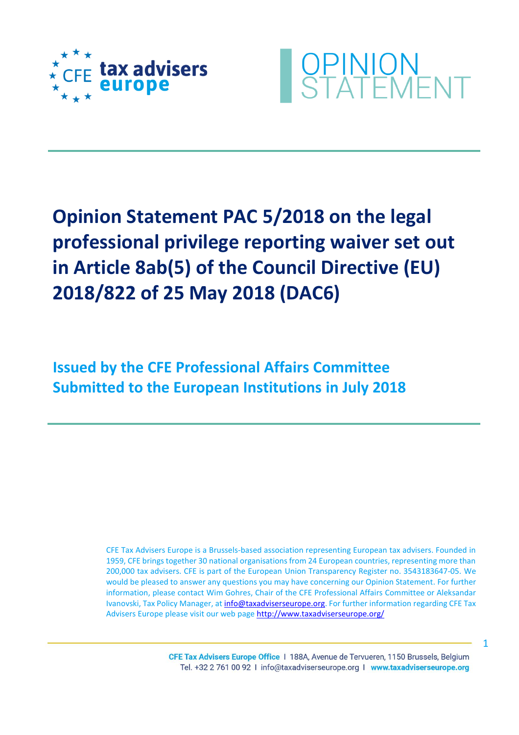



## **Opinion Statement PAC 5/2018 on the legal professional privilege reporting waiver set out in Article 8ab(5) of the Council Directive (EU) 2018/822 of 25 May 2018 (DAC6)**

**Issued by the CFE Professional Affairs Committee Submitted to the European Institutions in July 2018**

> CFE Tax Advisers Europe is a Brussels-based association representing European tax advisers. Founded in 1959, CFE brings together 30 national organisations from 24 European countries, representing more than 200,000 tax advisers. CFE is part of the European Union Transparency Register no. 3543183647‐05. We would be pleased to answer any questions you may have concerning our Opinion Statement. For further information, please contact Wim Gohres, Chair of the CFE Professional Affairs Committee or Aleksandar Ivanovski, Tax Policy Manager, at [info@taxadviserseurope.org.](mailto:info@taxadviserseurope.org) For further information regarding CFE Tax Advisers Europe please visit our web pag[e http://www.taxadviserseurope.org/](http://www.taxadviserseurope.org/)

> > CFE Tax Advisers Europe Office | 188A, Avenue de Tervueren, 1150 Brussels, Belgium Tel. +32 2 761 00 92 | info@taxadviserseurope.org | www.taxadviserseurope.org

1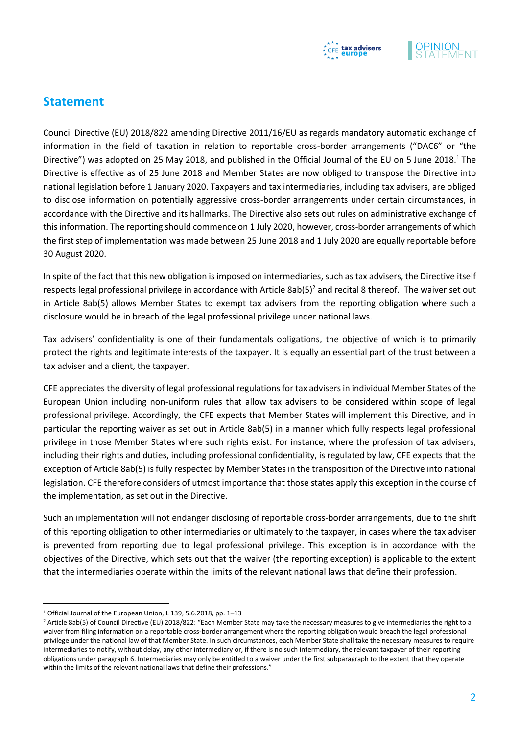

## **Statement**

Council Directive (EU) 2018/822 amending Directive 2011/16/EU as regards mandatory automatic exchange of information in the field of taxation in relation to reportable cross-border arrangements ("DAC6" or "the Directive") was adopted on 25 May 2018, and published in the Official Journal of the EU on 5 June 2018.<sup>1</sup> The Directive is effective as of 25 June 2018 and Member States are now obliged to transpose the Directive into national legislation before 1 January 2020. Taxpayers and tax intermediaries, including tax advisers, are obliged to disclose information on potentially aggressive cross-border arrangements under certain circumstances, in accordance with the Directive and its hallmarks. The Directive also sets out rules on administrative exchange of this information. The reporting should commence on 1 July 2020, however, cross-border arrangements of which the first step of implementation was made between 25 June 2018 and 1 July 2020 are equally reportable before 30 August 2020.

In spite of the fact that this new obligation is imposed on intermediaries, such as tax advisers, the Directive itself respects legal professional privilege in accordance with Article 8ab(5)<sup>2</sup> and recital 8 thereof. The waiver set out in Article 8ab(5) allows Member States to exempt tax advisers from the reporting obligation where such a disclosure would be in breach of the legal professional privilege under national laws.

Tax advisers' confidentiality is one of their fundamentals obligations, the objective of which is to primarily protect the rights and legitimate interests of the taxpayer. It is equally an essential part of the trust between a tax adviser and a client, the taxpayer.

CFE appreciates the diversity of legal professional regulations for tax advisers in individual Member States of the European Union including non-uniform rules that allow tax advisers to be considered within scope of legal professional privilege. Accordingly, the CFE expects that Member States will implement this Directive, and in particular the reporting waiver as set out in Article 8ab(5) in a manner which fully respects legal professional privilege in those Member States where such rights exist. For instance, where the profession of tax advisers, including their rights and duties, including professional confidentiality, is regulated by law, CFE expects that the exception of Article 8ab(5) is fully respected by Member States in the transposition of the Directive into national legislation. CFE therefore considers of utmost importance that those states apply this exception in the course of the implementation, as set out in the Directive.

Such an implementation will not endanger disclosing of reportable cross-border arrangements, due to the shift of this reporting obligation to other intermediaries or ultimately to the taxpayer, in cases where the tax adviser is prevented from reporting due to legal professional privilege. This exception is in accordance with the objectives of the Directive, which sets out that the waiver (the reporting exception) is applicable to the extent that the intermediaries operate within the limits of the relevant national laws that define their profession.

l

<sup>1</sup> Official Journal of the European Union, L 139, 5.6.2018, pp. 1–13

<sup>&</sup>lt;sup>2</sup> Article 8ab(5) of Council Directive (EU) 2018/822: "Each Member State may take the necessary measures to give intermediaries the right to a waiver from filing information on a reportable cross-border arrangement where the reporting obligation would breach the legal professional privilege under the national law of that Member State. In such circumstances, each Member State shall take the necessary measures to require intermediaries to notify, without delay, any other intermediary or, if there is no such intermediary, the relevant taxpayer of their reporting obligations under paragraph 6. Intermediaries may only be entitled to a waiver under the first subparagraph to the extent that they operate within the limits of the relevant national laws that define their professions."